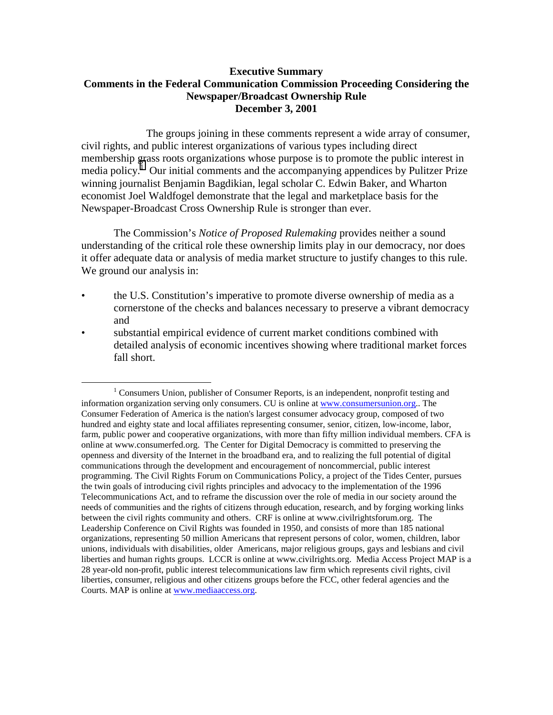## **Executive Summary Comments in the Federal Communication Commission Proceeding Considering the Newspaper/Broadcast Ownership Rule December 3, 2001**

The groups joining in these comments represent a wide array of consumer, civil rights, and public interest organizations of various types including direct membership grass roots organizations whose purpose is to promote the public interest in media policy.<sup>1</sup> Our initial comments and the accompanying appendices by Pulitzer Prize winning journalist Benjamin Bagdikian, legal scholar C. Edwin Baker, and Wharton economist Joel Waldfogel demonstrate that the legal and marketplace basis for the Newspaper-Broadcast Cross Ownership Rule is stronger than ever.

The Commission's *Notice of Proposed Rulemaking* provides neither a sound understanding of the critical role these ownership limits play in our democracy, nor does it offer adequate data or analysis of media market structure to justify changes to this rule. We ground our analysis in:

- the U.S. Constitution's imperative to promote diverse ownership of media as a cornerstone of the checks and balances necessary to preserve a vibrant democracy and
- substantial empirical evidence of current market conditions combined with detailed analysis of economic incentives showing where traditional market forces fall short.

<sup>&</sup>lt;u>1</u>  $1$  Consumers Union, publisher of Consumer Reports, is an independent, nonprofit testing and information organization serving only consumers. CU is online at www.consumersunion.org.. The Consumer Federation of America is the nation's largest consumer advocacy group, composed of two hundred and eighty state and local affiliates representing consumer, senior, citizen, low-income, labor, farm, public power and cooperative organizations, with more than fifty million individual members. CFA is online at www.consumerfed.org. The Center for Digital Democracy is committed to preserving the openness and diversity of the Internet in the broadband era, and to realizing the full potential of digital communications through the development and encouragement of noncommercial, public interest programming. The Civil Rights Forum on Communications Policy, a project of the Tides Center, pursues the twin goals of introducing civil rights principles and advocacy to the implementation of the 1996 Telecommunications Act, and to reframe the discussion over the role of media in our society around the needs of communities and the rights of citizens through education, research, and by forging working links between the civil rights community and others. CRF is online at www.civilrightsforum.org. The Leadership Conference on Civil Rights was founded in 1950, and consists of more than 185 national organizations, representing 50 million Americans that represent persons of color, women, children, labor unions, individuals with disabilities, older Americans, major religious groups, gays and lesbians and civil liberties and human rights groups. LCCR is online at www.civilrights.org. Media Access Project MAP is a 28 year-old non-profit, public interest telecommunications law firm which represents civil rights, civil liberties, consumer, religious and other citizens groups before the FCC, other federal agencies and the Courts. MAP is online at www.mediaaccess.org.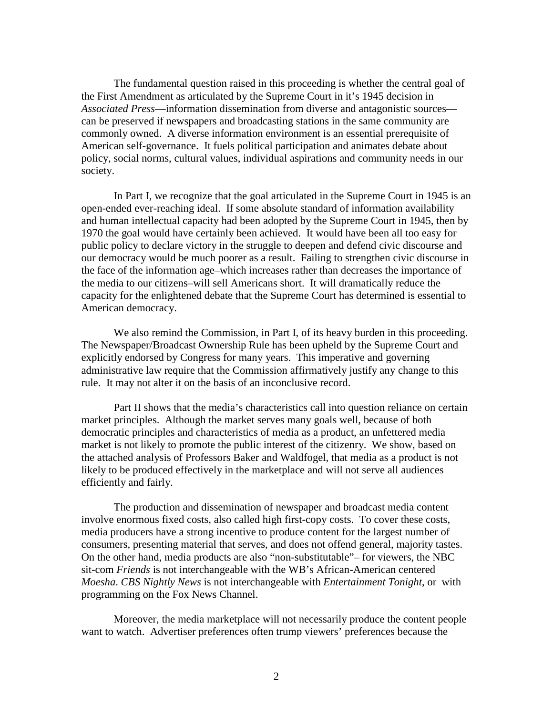The fundamental question raised in this proceeding is whether the central goal of the First Amendment as articulated by the Supreme Court in it's 1945 decision in *Associated Press*—information dissemination from diverse and antagonistic sources can be preserved if newspapers and broadcasting stations in the same community are commonly owned. A diverse information environment is an essential prerequisite of American self-governance. It fuels political participation and animates debate about policy, social norms, cultural values, individual aspirations and community needs in our society.

In Part I, we recognize that the goal articulated in the Supreme Court in 1945 is an open-ended ever-reaching ideal. If some absolute standard of information availability and human intellectual capacity had been adopted by the Supreme Court in 1945, then by 1970 the goal would have certainly been achieved. It would have been all too easy for public policy to declare victory in the struggle to deepen and defend civic discourse and our democracy would be much poorer as a result. Failing to strengthen civic discourse in the face of the information age–which increases rather than decreases the importance of the media to our citizens–will sell Americans short. It will dramatically reduce the capacity for the enlightened debate that the Supreme Court has determined is essential to American democracy.

We also remind the Commission, in Part I, of its heavy burden in this proceeding. The Newspaper/Broadcast Ownership Rule has been upheld by the Supreme Court and explicitly endorsed by Congress for many years. This imperative and governing administrative law require that the Commission affirmatively justify any change to this rule. It may not alter it on the basis of an inconclusive record.

Part II shows that the media's characteristics call into question reliance on certain market principles. Although the market serves many goals well, because of both democratic principles and characteristics of media as a product, an unfettered media market is not likely to promote the public interest of the citizenry. We show, based on the attached analysis of Professors Baker and Waldfogel, that media as a product is not likely to be produced effectively in the marketplace and will not serve all audiences efficiently and fairly.

The production and dissemination of newspaper and broadcast media content involve enormous fixed costs, also called high first-copy costs. To cover these costs, media producers have a strong incentive to produce content for the largest number of consumers, presenting material that serves, and does not offend general, majority tastes. On the other hand, media products are also "non-substitutable"– for viewers, the NBC sit-com *Friends* is not interchangeable with the WB's African-American centered *Moesha*. *CBS Nightly News* is not interchangeable with *Entertainment Tonight*, or with programming on the Fox News Channel.

Moreover, the media marketplace will not necessarily produce the content people want to watch. Advertiser preferences often trump viewers' preferences because the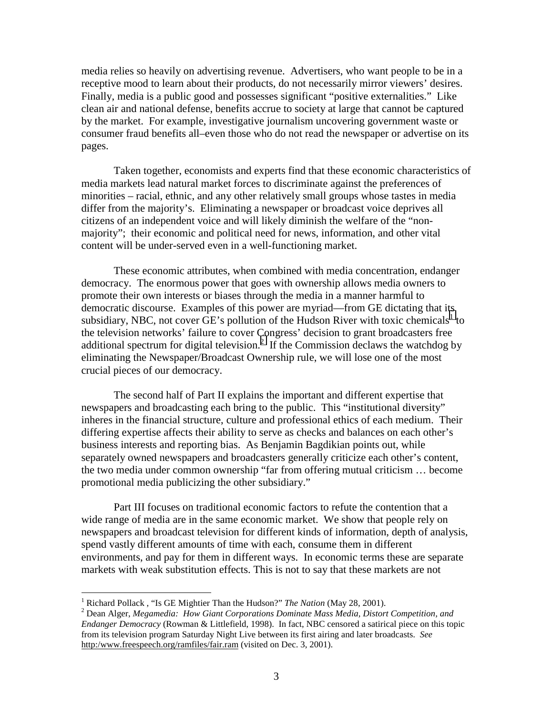media relies so heavily on advertising revenue. Advertisers, who want people to be in a receptive mood to learn about their products, do not necessarily mirror viewers' desires. Finally, media is a public good and possesses significant "positive externalities." Like clean air and national defense, benefits accrue to society at large that cannot be captured by the market. For example, investigative journalism uncovering government waste or consumer fraud benefits all–even those who do not read the newspaper or advertise on its pages.

Taken together, economists and experts find that these economic characteristics of media markets lead natural market forces to discriminate against the preferences of minorities – racial, ethnic, and any other relatively small groups whose tastes in media differ from the majority's. Eliminating a newspaper or broadcast voice deprives all citizens of an independent voice and will likely diminish the welfare of the "nonmajority"; their economic and political need for news, information, and other vital content will be under-served even in a well-functioning market.

These economic attributes, when combined with media concentration, endanger democracy. The enormous power that goes with ownership allows media owners to promote their own interests or biases through the media in a manner harmful to democratic discourse. Examples of this power are myriad—from GE dictating that its subsidiary, NBC, not cover  $\overline{GE}$ 's pollution of the Hudson River with toxic chemicals<sup>1</sup> to the television networks' failure to cover Congress' decision to grant broadcasters free additional spectrum for digital television.<sup>2</sup> If the Commission declaws the watchdog by eliminating the Newspaper/Broadcast Ownership rule, we will lose one of the most crucial pieces of our democracy.

The second half of Part II explains the important and different expertise that newspapers and broadcasting each bring to the public. This "institutional diversity" inheres in the financial structure, culture and professional ethics of each medium. Their differing expertise affects their ability to serve as checks and balances on each other's business interests and reporting bias. As Benjamin Bagdikian points out, while separately owned newspapers and broadcasters generally criticize each other's content, the two media under common ownership "far from offering mutual criticism … become promotional media publicizing the other subsidiary."

 Part III focuses on traditional economic factors to refute the contention that a wide range of media are in the same economic market. We show that people rely on newspapers and broadcast television for different kinds of information, depth of analysis, spend vastly different amounts of time with each, consume them in different environments, and pay for them in different ways. In economic terms these are separate markets with weak substitution effects. This is not to say that these markets are not

 $\overline{a}$ 

<sup>&</sup>lt;sup>1</sup> Richard Pollack , "Is GE Mightier Than the Hudson?" *The Nation* (May 28, 2001).<br><sup>2</sup> Deep Algas Maggunadia: How Giant Comparations Dominate Mags Madia, Distan

Dean Alger, *Megamedia: How Giant Corporations Dominate Mass Media, Distort Competition, and Endanger Democracy* (Rowman & Littlefield, 1998). In fact, NBC censored a satirical piece on this topic from its television program Saturday Night Live between its first airing and later broadcasts. *See* http:/www.freespeech.org/ramfiles/fair.ram (visited on Dec. 3, 2001).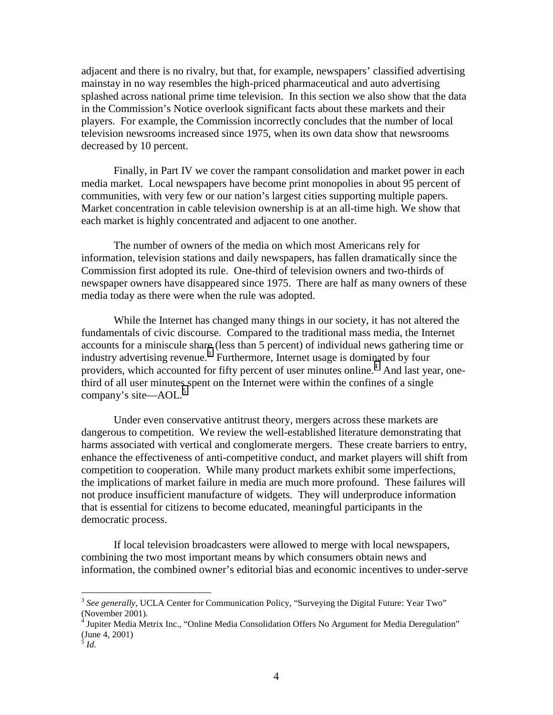adjacent and there is no rivalry, but that, for example, newspapers' classified advertising mainstay in no way resembles the high-priced pharmaceutical and auto advertising splashed across national prime time television. In this section we also show that the data in the Commission's Notice overlook significant facts about these markets and their players. For example, the Commission incorrectly concludes that the number of local television newsrooms increased since 1975, when its own data show that newsrooms decreased by 10 percent.

Finally, in Part IV we cover the rampant consolidation and market power in each media market. Local newspapers have become print monopolies in about 95 percent of communities, with very few or our nation's largest cities supporting multiple papers. Market concentration in cable television ownership is at an all-time high. We show that each market is highly concentrated and adjacent to one another.

The number of owners of the media on which most Americans rely for information, television stations and daily newspapers, has fallen dramatically since the Commission first adopted its rule. One-third of television owners and two-thirds of newspaper owners have disappeared since 1975. There are half as many owners of these media today as there were when the rule was adopted.

While the Internet has changed many things in our society, it has not altered the fundamentals of civic discourse. Compared to the traditional mass media, the Internet accounts for a miniscule share (less than 5 percent) of individual news gathering time or industry advertising revenue.<sup>3</sup> Furthermore, Internet usage is dominated by four providers, which accounted for fifty percent of user minutes online.<sup>4</sup> And last year, onethird of all user minutes spent on the Internet were within the confines of a single company's site—AOL. $5$ 

Under even conservative antitrust theory, mergers across these markets are dangerous to competition. We review the well-established literature demonstrating that harms associated with vertical and conglomerate mergers. These create barriers to entry, enhance the effectiveness of anti-competitive conduct, and market players will shift from competition to cooperation. While many product markets exhibit some imperfections, the implications of market failure in media are much more profound. These failures will not produce insufficient manufacture of widgets. They will underproduce information that is essential for citizens to become educated, meaningful participants in the democratic process.

If local television broadcasters were allowed to merge with local newspapers, combining the two most important means by which consumers obtain news and information, the combined owner's editorial bias and economic incentives to under-serve

 $\overline{a}$ 

<sup>&</sup>lt;sup>3</sup> See generally, UCLA Center for Communication Policy, "Surveying the Digital Future: Year Two" (November 2001).

<sup>&</sup>lt;sup>4</sup> Jupiter Media Metrix Inc., "Online Media Consolidation Offers No Argument for Media Deregulation" (June 4, 2001)

<sup>5</sup> *Id.*